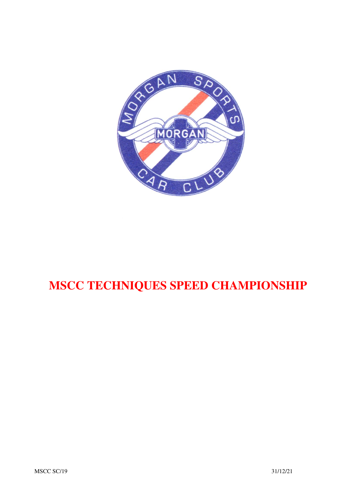

# **MSCC TECHNIQUES SPEED CHAMPIONSHIP**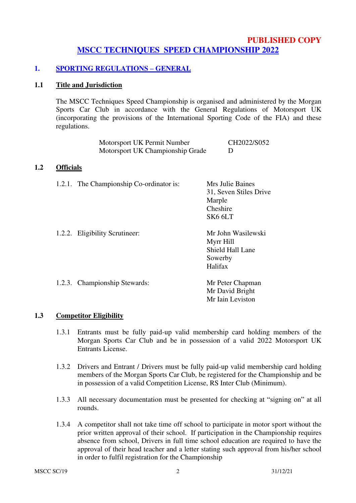## **PUBLISHED COPY MSCC TECHNIQUES SPEED CHAMPIONSHIP 2022**

# **1. SPORTING REGULATIONS – GENERAL**

#### **1.1 Title and Jurisdiction**

The MSCC Techniques Speed Championship is organised and administered by the Morgan Sports Car Club in accordance with the General Regulations of Motorsport UK (incorporating the provisions of the International Sporting Code of the FIA) and these regulations.

| Motorsport UK Permit Number      | CH2022/S052 |
|----------------------------------|-------------|
| Motorsport UK Championship Grade |             |

## **1.2 Officials**

| 1.2.1. The Championship Co-ordinator is: | Mrs Julie Baines<br>31, Seven Stiles Drive<br>Marple<br>Cheshire<br>SK <sub>6</sub> 6LT |
|------------------------------------------|-----------------------------------------------------------------------------------------|
| 1.2.2. Eligibility Scrutineer:           | Mr John Wasilewski<br>Myrr Hill<br>Shield Hall Lane<br>Sowerby<br>Halifax               |
| 1.2.3. Championship Stewards:            | Mr Peter Chapman<br>Mr David Bright<br>Mr Iain Leviston                                 |

#### **1.3 Competitor Eligibility**

- 1.3.1 Entrants must be fully paid-up valid membership card holding members of the Morgan Sports Car Club and be in possession of a valid 2022 Motorsport UK Entrants License.
- 1.3.2 Drivers and Entrant / Drivers must be fully paid-up valid membership card holding members of the Morgan Sports Car Club, be registered for the Championship and be in possession of a valid Competition License, RS Inter Club (Minimum).
- 1.3.3 All necessary documentation must be presented for checking at "signing on" at all rounds.
- 1.3.4 A competitor shall not take time off school to participate in motor sport without the prior written approval of their school. If participation in the Championship requires absence from school, Drivers in full time school education are required to have the approval of their head teacher and a letter stating such approval from his/her school in order to fulfil registration for the Championship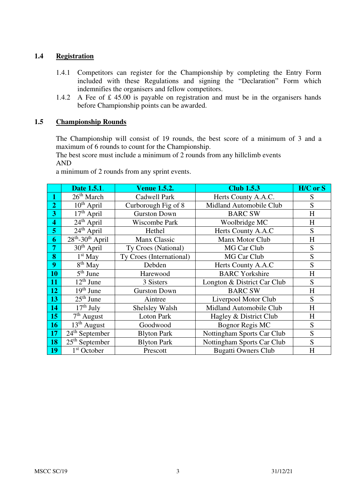#### **1.4 Registration**

- 1.4.1 Competitors can register for the Championship by completing the Entry Form included with these Regulations and signing the "Declaration" Form which indemnifies the organisers and fellow competitors.
- 1.4.2 A Fee of £ 45.00 is payable on registration and must be in the organisers hands before Championship points can be awarded.

#### **1.5 Championship Rounds**

The Championship will consist of 19 rounds, the best score of a minimum of 3 and a maximum of 6 rounds to count for the Championship.

The best score must include a minimum of 2 rounds from any hillclimb events AND

a minimum of 2 rounds from any sprint events.

|                         | Date 1.5.1.                                          | <b>Venue 1.5.2.</b>                              | <b>Club 1.5.3</b>           | H/C or S |
|-------------------------|------------------------------------------------------|--------------------------------------------------|-----------------------------|----------|
| 1                       | 26 <sup>th</sup> March                               | Cadwell Park                                     | Herts County A.A.C.         | S        |
| $\overline{2}$          | $10^{th}$ April                                      | Curborough Fig of 8                              | Midland Automobile Club     | S        |
| 3                       | $17th$ April                                         | <b>Gurston Down</b>                              | <b>BARC SW</b>              | H        |
| $\overline{\mathbf{4}}$ | $24th$ April                                         | Wiscombe Park                                    | Woolbridge MC               | H        |
| 5                       | $24th$ April                                         | Hethel                                           | Herts County A.A.C          | S        |
| 6                       | $28th - 30th$ April                                  | Manx Classic                                     | Manx Motor Club             | H        |
| 7                       | $30th$ April                                         | Ty Croes (National)                              | MG Car Club                 | S        |
| 8                       | $1st$ May                                            | Ty Croes (International)                         | MG Car Club                 | S        |
| 9                       |                                                      | $8th$ May<br>Debden<br>Herts County A.A.C        |                             | S        |
| 10                      | $5th$ June                                           | <b>BARC</b> Yorkshire<br>Harewood                |                             | H        |
| 11                      | $12th$ June<br>3 Sisters                             |                                                  | Longton & District Car Club | S        |
| 12                      | $19th$ June<br><b>BARC SW</b><br><b>Gurston Down</b> |                                                  | H                           |          |
| 13                      | $25th$ June<br>Liverpool Motor Club<br>Aintree       |                                                  | S                           |          |
| 14                      | $\overline{1}7^{\text{th}}$ July<br>Shelsley Walsh   |                                                  | Midland Automobile Club     | H        |
| 15                      | $7th$ August<br><b>Loton Park</b>                    |                                                  | Hagley & District Club      | H        |
| 16                      | $13th$ August<br>Goodwood                            |                                                  | <b>Bognor Regis MC</b>      | S        |
| 17                      | $24th$ September                                     | Nottingham Sports Car Club<br><b>Blyton Park</b> |                             | S        |
| 18                      | $25th$ September                                     | <b>Blyton Park</b><br>Nottingham Sports Car Club |                             | S        |
| 19                      | 1 <sup>st</sup> October                              | Prescott                                         | <b>Bugatti Owners Club</b>  | H        |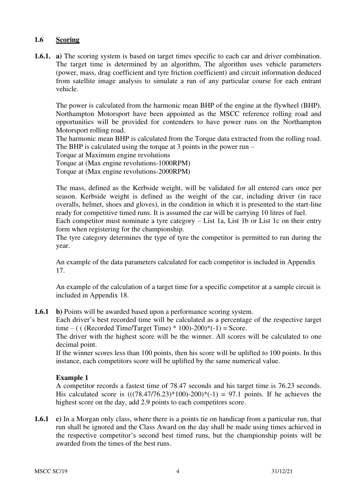#### **1.6 Scoring**

**1.6.1. a)** The scoring system is based on target times specific to each car and driver combination. The target time is determined by an algorithm, The algorithm uses vehicle parameters (power, mass, drag coefficient and tyre friction coefficient) and circuit information deduced from satellite image analysis to simulate a run of any particular course for each entrant vehicle.

The power is calculated from the harmonic mean BHP of the engine at the flywheel (BHP). Northampton Motorsport have been appointed as the MSCC reference rolling road and opportunities will be provided for contenders to have power runs on the Northampton Motorsport rolling road.

The harmonic mean BHP is calculated from the Torque data extracted from the rolling road. The BHP is calculated using the torque at 3 points in the power run –

Torque at Maximum engine revolutions

Torque at (Max engine revolutions-1000RPM)

Torque at (Max engine revolutions-2000RPM)

The mass, defined as the Kerbside weight, will be validated for all entered cars once per season. Kerbside weight is defined as the weight of the car, including driver (in race overalls, helmet, shoes and gloves), in the condition in which it is presented to the start-line ready for competitive timed runs. It is assumed the car will be carrying 10 litres of fuel.

Each competitor must nominate a tyre category – List 1a, List 1b or List 1c on their entry form when registering for the championship.

The tyre category determines the type of tyre the competitor is permitted to run during the year.

An example of the data parameters calculated for each competitor is included in Appendix 17.

An example of the calculation of a target time for a specific competitor at a sample circuit is included in Appendix 18.

**1.6.1** b) Points will be awarded based upon a performance scoring system.

Each driver's best recorded time will be calculated as a percentage of the respective target time – ( ( (Recorded Time/Target Time)  $*$  100)-200) $*(-1)$  = Score.

The driver with the highest score will be the winner. All scores will be calculated to one decimal point.

If the winner scores less than 100 points, then his score will be uplifted to 100 points. In this instance, each competitors score will be uplifted by the same numerical value.

#### **Example 1**

A competitor records a fastest time of 78.47 seconds and his target time is 76.23 seconds. His calculated score is  $(((78.47/76.23)*100)-200)*(-1) = 97.1$  points. If he achieves the highest score on the day, add 2.9 points to each competitors score.

**1.6.1 c)** In a Morgan only class, where there is a points tie on handicap from a particular run, that run shall be ignored and the Class Award on the day shall be made using times achieved in the respective competitor's second best timed runs, but the championship points will be awarded from the times of the best runs.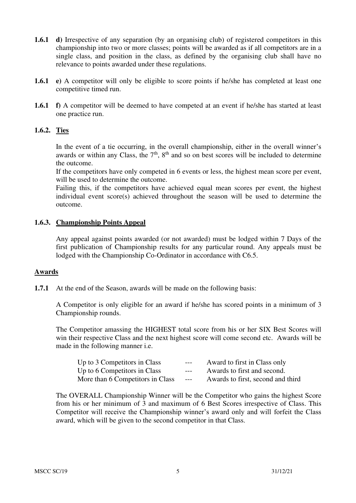- **1.6.1 d)** Irrespective of any separation (by an organising club) of registered competitors in this championship into two or more classes; points will be awarded as if all competitors are in a single class, and position in the class, as defined by the organising club shall have no relevance to points awarded under these regulations.
- **1.6.1 e**) A competitor will only be eligible to score points if he/she has completed at least one competitive timed run.
- **1.6.1 f)** A competitor will be deemed to have competed at an event if he/she has started at least one practice run.

#### **1.6.2. Ties**

In the event of a tie occurring, in the overall championship, either in the overall winner's awards or within any Class, the  $7<sup>th</sup>$ ,  $8<sup>th</sup>$  and so on best scores will be included to determine the outcome.

If the competitors have only competed in 6 events or less, the highest mean score per event, will be used to determine the outcome.

Failing this, if the competitors have achieved equal mean scores per event, the highest individual event score(s) achieved throughout the season will be used to determine the outcome.

#### **1.6.3. Championship Points Appeal**

Any appeal against points awarded (or not awarded) must be lodged within 7 Days of the first publication of Championship results for any particular round. Any appeals must be lodged with the Championship Co-Ordinator in accordance with C6.5.

#### **Awards**

**1.7.1** At the end of the Season, awards will be made on the following basis:

A Competitor is only eligible for an award if he/she has scored points in a minimum of 3 Championship rounds.

The Competitor amassing the HIGHEST total score from his or her SIX Best Scores will win their respective Class and the next highest score will come second etc. Awards will be made in the following manner i.e.

| Up to 3 Competitors in Class     | $---$ | Award to first in Class only      |
|----------------------------------|-------|-----------------------------------|
| Up to 6 Competitors in Class     | $---$ | Awards to first and second.       |
| More than 6 Competitors in Class | $---$ | Awards to first, second and third |

The OVERALL Championship Winner will be the Competitor who gains the highest Score from his or her minimum of 3 and maximum of 6 Best Scores irrespective of Class. This Competitor will receive the Championship winner's award only and will forfeit the Class award, which will be given to the second competitor in that Class.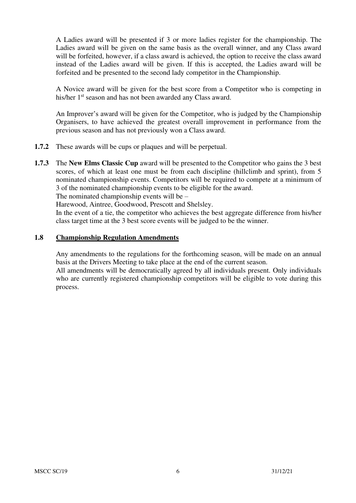A Ladies award will be presented if 3 or more ladies register for the championship. The Ladies award will be given on the same basis as the overall winner, and any Class award will be forfeited, however, if a class award is achieved, the option to receive the class award instead of the Ladies award will be given. If this is accepted, the Ladies award will be forfeited and be presented to the second lady competitor in the Championship.

A Novice award will be given for the best score from a Competitor who is competing in his/her 1<sup>st</sup> season and has not been awarded any Class award.

An Improver's award will be given for the Competitor, who is judged by the Championship Organisers, to have achieved the greatest overall improvement in performance from the previous season and has not previously won a Class award.

- **1.7.2** These awards will be cups or plaques and will be perpetual.
- **1.7.3** The **New Elms Classic Cup** award will be presented to the Competitor who gains the 3 best scores, of which at least one must be from each discipline (hillclimb and sprint), from 5 nominated championship events. Competitors will be required to compete at a minimum of 3 of the nominated championship events to be eligible for the award.

The nominated championship events will be –

Harewood, Aintree, Goodwood, Prescott and Shelsley.

In the event of a tie, the competitor who achieves the best aggregate difference from his/her class target time at the 3 best score events will be judged to be the winner.

#### **1.8 Championship Regulation Amendments**

Any amendments to the regulations for the forthcoming season, will be made on an annual basis at the Drivers Meeting to take place at the end of the current season.

All amendments will be democratically agreed by all individuals present. Only individuals who are currently registered championship competitors will be eligible to vote during this process.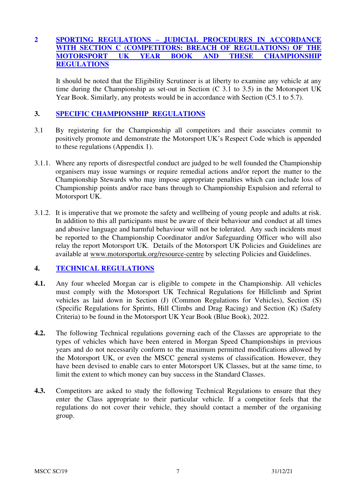#### **2 SPORTING REGULATIONS – JUDICIAL PROCEDURES IN ACCORDANCE WITH SECTION C (COMPETITORS: BREACH OF REGULATIONS) OF THE**  YEAR BOOK AND THESE CHAMPIONSHIP **REGULATIONS**

It should be noted that the Eligibility Scrutineer is at liberty to examine any vehicle at any time during the Championship as set-out in Section  $(C, 3.1, 3.5)$  in the Motorsport UK Year Book. Similarly, any protests would be in accordance with Section (C5.1 to 5.7).

#### **3. SPECIFIC CHAMPIONSHIP REGULATIONS**

- 3.1 By registering for the Championship all competitors and their associates commit to positively promote and demonstrate the Motorsport UK's Respect Code which is appended to these regulations (Appendix 1).
- 3.1.1. Where any reports of disrespectful conduct are judged to be well founded the Championship organisers may issue warnings or require remedial actions and/or report the matter to the Championship Stewards who may impose appropriate penalties which can include loss of Championship points and/or race bans through to Championship Expulsion and referral to Motorsport UK.
- 3.1.2. It is imperative that we promote the safety and wellbeing of young people and adults at risk. In addition to this all participants must be aware of their behaviour and conduct at all times and abusive language and harmful behaviour will not be tolerated. Any such incidents must be reported to the Championship Coordinator and/or Safeguarding Officer who will also relay the report Motorsport UK. Details of the Motorsport UK Policies and Guidelines are available at [www.motorsportuk.org/resource-centre](http://www.motorsportuk.org/resource-centre) by selecting Policies and Guidelines.

#### **4. TECHNICAL REGULATIONS**

- **4.1.** Any four wheeled Morgan car is eligible to compete in the Championship. All vehicles must comply with the Motorsport UK Technical Regulations for Hillclimb and Sprint vehicles as laid down in Section (J) (Common Regulations for Vehicles), Section (S) (Specific Regulations for Sprints, Hill Climbs and Drag Racing) and Section (K) (Safety Criteria) to be found in the Motorsport UK Year Book (Blue Book), 2022.
- **4.2.** The following Technical regulations governing each of the Classes are appropriate to the types of vehicles which have been entered in Morgan Speed Championships in previous years and do not necessarily conform to the maximum permitted modifications allowed by the Motorsport UK, or even the MSCC general systems of classification. However, they have been devised to enable cars to enter Motorsport UK Classes, but at the same time, to limit the extent to which money can buy success in the Standard Classes.
- **4.3.** Competitors are asked to study the following Technical Regulations to ensure that they enter the Class appropriate to their particular vehicle. If a competitor feels that the regulations do not cover their vehicle, they should contact a member of the organising group.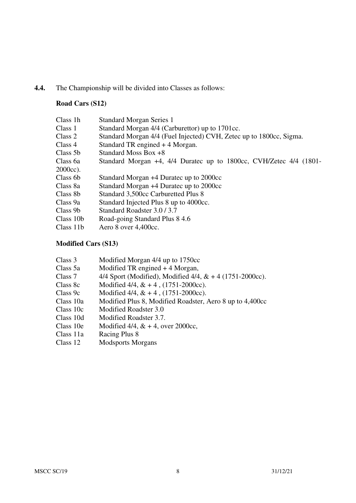# **4.4.** The Championship will be divided into Classes as follows:

# **Road Cars (S12)**

| Class 1h  | <b>Standard Morgan Series 1</b>                                     |
|-----------|---------------------------------------------------------------------|
| Class 1   | Standard Morgan 4/4 (Carburettor) up to 1701cc.                     |
| Class 2   | Standard Morgan 4/4 (Fuel Injected) CVH, Zetec up to 1800cc, Sigma. |
| Class 4   | Standard TR engined + 4 Morgan.                                     |
| Class 5b  | Standard Moss Box +8                                                |
| Class 6a  | Standard Morgan +4, 4/4 Duratec up to 1800cc, CVH/Zetec 4/4 (1801-  |
| 2000cc).  |                                                                     |
| Class 6b  | Standard Morgan +4 Duratec up to 2000cc                             |
| Class 8a  | Standard Morgan +4 Duratec up to 2000cc                             |
| Class 8b  | Standard 3,500cc Carburetted Plus 8                                 |
| Class 9a  | Standard Injected Plus 8 up to 4000cc.                              |
| Class 9b  | Standard Roadster 3.0/3.7                                           |
| Class 10b | Road-going Standard Plus 8 4.6                                      |
| Class 11b | Aero 8 over 4,400cc.                                                |
|           |                                                                     |

# **Modified Cars (S13)**

| Class 3   | Modified Morgan 4/4 up to 1750cc                               |
|-----------|----------------------------------------------------------------|
| Class 5a  | Modified TR engined $+4$ Morgan,                               |
| Class 7   | 4/4 Sport (Modified), Modified $4/4$ , $\& + 4$ (1751-2000cc). |
| Class 8c  | Modified $4/4$ , $& 4$ , $(1751-2000cc)$ .                     |
| Class 9c  | Modified $4/4$ , $& 4$ , $(1751-2000cc)$ .                     |
| Class 10a | Modified Plus 8, Modified Roadster, Aero 8 up to 4,400cc       |
| Class 10c | Modified Roadster 3.0                                          |
| Class 10d | Modified Roadster 3.7.                                         |
| Class 10e | Modified 4/4, $& 4$ , over 2000cc,                             |
| Class 11a | Racing Plus 8                                                  |
| Class 12  | <b>Modsports Morgans</b>                                       |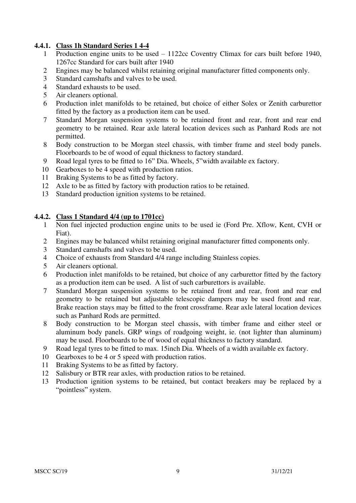#### **4.4.1. Class 1h Standard Series 1 4-4**

- Production engine units to be used 1122cc Coventry Climax for cars built before 1940, 1267cc Standard for cars built after 1940
- Engines may be balanced whilst retaining original manufacturer fitted components only.
- Standard camshafts and valves to be used.
- Standard exhausts to be used.
- Air cleaners optional.
- Production inlet manifolds to be retained, but choice of either Solex or Zenith carburettor fitted by the factory as a production item can be used.
- Standard Morgan suspension systems to be retained front and rear, front and rear end geometry to be retained. Rear axle lateral location devices such as Panhard Rods are not permitted.
- Body construction to be Morgan steel chassis, with timber frame and steel body panels. Floorboards to be of wood of equal thickness to factory standard.
- Road legal tyres to be fitted to 16" Dia. Wheels, 5"width available ex factory.
- Gearboxes to be 4 speed with production ratios.
- Braking Systems to be as fitted by factory.
- Axle to be as fitted by factory with production ratios to be retained.
- Standard production ignition systems to be retained.

#### **4.4.2. Class 1 Standard 4/4 (up to 1701cc)**

- Non fuel injected production engine units to be used ie (Ford Pre. Xflow, Kent, CVH or Fiat).
- Engines may be balanced whilst retaining original manufacturer fitted components only.
- Standard camshafts and valves to be used.
- Choice of exhausts from Standard 4/4 range including Stainless copies.
- Air cleaners optional.
- Production inlet manifolds to be retained, but choice of any carburettor fitted by the factory as a production item can be used. A list of such carburettors is available.
- Standard Morgan suspension systems to be retained front and rear, front and rear end geometry to be retained but adjustable telescopic dampers may be used front and rear. Brake reaction stays may be fitted to the front crossframe. Rear axle lateral location devices such as Panhard Rods are permitted.
- Body construction to be Morgan steel chassis, with timber frame and either steel or aluminum body panels. GRP wings of roadgoing weight, ie. (not lighter than aluminum) may be used. Floorboards to be of wood of equal thickness to factory standard.
- Road legal tyres to be fitted to max. 15inch Dia. Wheels of a width available ex factory.
- Gearboxes to be 4 or 5 speed with production ratios.
- Braking Systems to be as fitted by factory.
- Salisbury or BTR rear axles, with production ratios to be retained.
- Production ignition systems to be retained, but contact breakers may be replaced by a "pointless" system.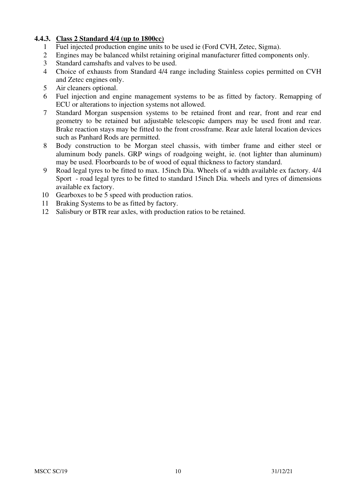## **4.4.3. Class 2 Standard 4/4 (up to 1800cc)**

- 1 Fuel injected production engine units to be used ie (Ford CVH, Zetec, Sigma).
- 2 Engines may be balanced whilst retaining original manufacturer fitted components only.<br>3 Standard camshafts and valves to be used
- Standard camshafts and valves to be used.
- 4 Choice of exhausts from Standard 4/4 range including Stainless copies permitted on CVH and Zetec engines only.
- 5 Air cleaners optional.
- 6 Fuel injection and engine management systems to be as fitted by factory. Remapping of ECU or alterations to injection systems not allowed.
- 7 Standard Morgan suspension systems to be retained front and rear, front and rear end geometry to be retained but adjustable telescopic dampers may be used front and rear. Brake reaction stays may be fitted to the front crossframe. Rear axle lateral location devices such as Panhard Rods are permitted.
- 8 Body construction to be Morgan steel chassis, with timber frame and either steel or aluminum body panels. GRP wings of roadgoing weight, ie. (not lighter than aluminum) may be used. Floorboards to be of wood of equal thickness to factory standard.
- 9 Road legal tyres to be fitted to max. 15inch Dia. Wheels of a width available ex factory. 4/4 Sport - road legal tyres to be fitted to standard 15inch Dia. wheels and tyres of dimensions available ex factory.
- 10 Gearboxes to be 5 speed with production ratios.
- 11 Braking Systems to be as fitted by factory.
- 12 Salisbury or BTR rear axles, with production ratios to be retained.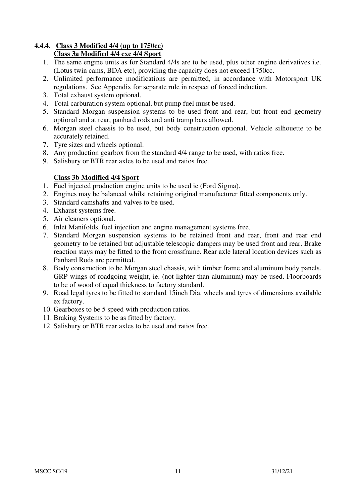#### **4.4.4. Class 3 Modified 4/4 (up to 1750cc) Class 3a Modified 4/4 exc 4/4 Sport**

- 1. The same engine units as for Standard 4/4s are to be used, plus other engine derivatives i.e. (Lotus twin cams, BDA etc), providing the capacity does not exceed 1750cc.
- 2. Unlimited performance modifications are permitted, in accordance with Motorsport UK regulations. See Appendix for separate rule in respect of forced induction.
- 3. Total exhaust system optional.
- 4. Total carburation system optional, but pump fuel must be used.
- 5. Standard Morgan suspension systems to be used front and rear, but front end geometry optional and at rear, panhard rods and anti tramp bars allowed.
- 6. Morgan steel chassis to be used, but body construction optional. Vehicle silhouette to be accurately retained.
- 7. Tyre sizes and wheels optional.
- 8. Any production gearbox from the standard 4/4 range to be used, with ratios free.
- 9. Salisbury or BTR rear axles to be used and ratios free.

# **Class 3b Modified 4/4 Sport**

- 1. Fuel injected production engine units to be used ie (Ford Sigma).
- 2. Engines may be balanced whilst retaining original manufacturer fitted components only.
- 3. Standard camshafts and valves to be used.
- 4. Exhaust systems free.
- 5. Air cleaners optional.
- 6. Inlet Manifolds, fuel injection and engine management systems free.
- 7. Standard Morgan suspension systems to be retained front and rear, front and rear end geometry to be retained but adjustable telescopic dampers may be used front and rear. Brake reaction stays may be fitted to the front crossframe. Rear axle lateral location devices such as Panhard Rods are permitted.
- 8. Body construction to be Morgan steel chassis, with timber frame and aluminum body panels. GRP wings of roadgoing weight, ie. (not lighter than aluminum) may be used. Floorboards to be of wood of equal thickness to factory standard.
- 9. Road legal tyres to be fitted to standard 15inch Dia. wheels and tyres of dimensions available ex factory.
- 10. Gearboxes to be 5 speed with production ratios.
- 11. Braking Systems to be as fitted by factory.
- 12. Salisbury or BTR rear axles to be used and ratios free.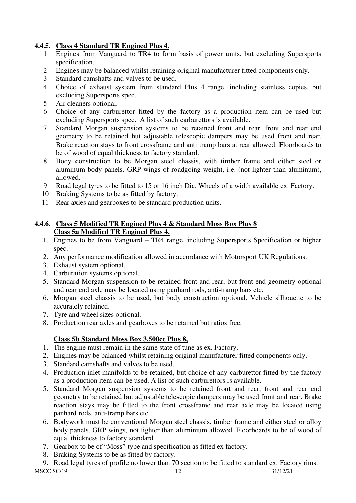# **4.4.5. Class 4 Standard TR Engined Plus 4.**

- 1 Engines from Vanguard to TR4 to form basis of power units, but excluding Supersports specification.
- 2 Engines may be balanced whilst retaining original manufacturer fitted components only.
- 3 Standard camshafts and valves to be used.
- 4 Choice of exhaust system from standard Plus 4 range, including stainless copies, but excluding Supersports spec.
- 5 Air cleaners optional.
- 6 Choice of any carburettor fitted by the factory as a production item can be used but excluding Supersports spec. A list of such carburettors is available.
- 7 Standard Morgan suspension systems to be retained front and rear, front and rear end geometry to be retained but adjustable telescopic dampers may be used front and rear. Brake reaction stays to front crossframe and anti tramp bars at rear allowed. Floorboards to be of wood of equal thickness to factory standard.
- 8 Body construction to be Morgan steel chassis, with timber frame and either steel or aluminum body panels. GRP wings of roadgoing weight, i.e. (not lighter than aluminum), allowed.
- 9 Road legal tyres to be fitted to 15 or 16 inch Dia. Wheels of a width available ex. Factory.
- 10 Braking Systems to be as fitted by factory.
- 11 Rear axles and gearboxes to be standard production units.

#### **4.4.6. Class 5 Modified TR Engined Plus 4 & Standard Moss Box Plus 8 Class 5a Modified TR Engined Plus 4.**

- 1. Engines to be from Vanguard TR4 range, including Supersports Specification or higher spec.
- 2. Any performance modification allowed in accordance with Motorsport UK Regulations.
- 3. Exhaust system optional.
- 4. Carburation systems optional.
- 5. Standard Morgan suspension to be retained front and rear, but front end geometry optional and rear end axle may be located using panhard rods, anti-tramp bars etc.
- 6. Morgan steel chassis to be used, but body construction optional. Vehicle silhouette to be accurately retained.
- 7. Tyre and wheel sizes optional.
- 8. Production rear axles and gearboxes to be retained but ratios free.

# **Class 5b Standard Moss Box 3,500cc Plus 8,**

- 1. The engine must remain in the same state of tune as ex. Factory.
- 2. Engines may be balanced whilst retaining original manufacturer fitted components only.
- 3. Standard camshafts and valves to be used.
- 4. Production inlet manifolds to be retained, but choice of any carburettor fitted by the factory as a production item can be used. A list of such carburettors is available.
- 5. Standard Morgan suspension systems to be retained front and rear, front and rear end geometry to be retained but adjustable telescopic dampers may be used front and rear. Brake reaction stays may be fitted to the front crossframe and rear axle may be located using panhard rods, anti-tramp bars etc.
- 6. Bodywork must be conventional Morgan steel chassis, timber frame and either steel or alloy body panels. GRP wings, not lighter than aluminium allowed. Floorboards to be of wood of equal thickness to factory standard.
- 7. Gearbox to be of "Moss" type and specification as fitted ex factory.
- 8. Braking Systems to be as fitted by factory.

MSCC SC/19 12 31/12/21 9. Road legal tyres of profile no lower than 70 section to be fitted to standard ex. Factory rims.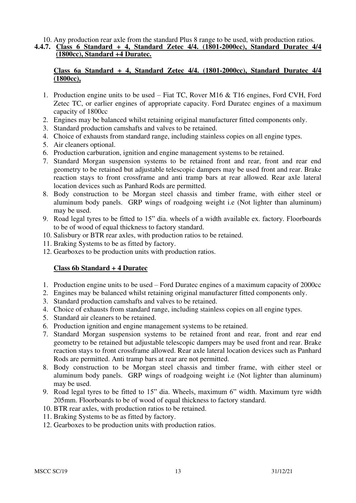#### 10. Any production rear axle from the standard Plus 8 range to be used, with production ratios. **4.4.7. Class 6 Standard + 4, Standard Zetec 4/4. (1801-2000cc), Standard Duratec 4/4 (1800cc), Standard +4 Duratec.**

## **Class 6a Standard + 4, Standard Zetec 4/4. (1801-2000cc), Standard Duratec 4/4 (1800cc),**

- 1. Production engine units to be used Fiat TC, Rover M16 & T16 engines, Ford CVH, Ford Zetec TC, or earlier engines of appropriate capacity. Ford Duratec engines of a maximum capacity of 1800cc
- 2. Engines may be balanced whilst retaining original manufacturer fitted components only.
- 3. Standard production camshafts and valves to be retained.
- 4. Choice of exhausts from standard range, including stainless copies on all engine types.
- 5. Air cleaners optional.
- 6. Production carburation, ignition and engine management systems to be retained.
- 7. Standard Morgan suspension systems to be retained front and rear, front and rear end geometry to be retained but adjustable telescopic dampers may be used front and rear. Brake reaction stays to front crossframe and anti tramp bars at rear allowed. Rear axle lateral location devices such as Panhard Rods are permitted.
- 8. Body construction to be Morgan steel chassis and timber frame, with either steel or aluminum body panels. GRP wings of roadgoing weight i.e (Not lighter than aluminum) may be used.
- 9. Road legal tyres to be fitted to 15" dia. wheels of a width available ex. factory. Floorboards to be of wood of equal thickness to factory standard.
- 10. Salisbury or BTR rear axles, with production ratios to be retained.
- 11. Braking Systems to be as fitted by factory.
- 12. Gearboxes to be production units with production ratios.

#### **Class 6b Standard + 4 Duratec**

- 1. Production engine units to be used Ford Duratec engines of a maximum capacity of 2000cc
- 2. Engines may be balanced whilst retaining original manufacturer fitted components only.
- 3. Standard production camshafts and valves to be retained.
- 4. Choice of exhausts from standard range, including stainless copies on all engine types.
- 5. Standard air cleaners to be retained.
- 6. Production ignition and engine management systems to be retained.
- 7. Standard Morgan suspension systems to be retained front and rear, front and rear end geometry to be retained but adjustable telescopic dampers may be used front and rear. Brake reaction stays to front crossframe allowed. Rear axle lateral location devices such as Panhard Rods are permitted. Anti tramp bars at rear are not permitted.
- 8. Body construction to be Morgan steel chassis and timber frame, with either steel or aluminum body panels. GRP wings of roadgoing weight i.e (Not lighter than aluminum) may be used.
- 9. Road legal tyres to be fitted to 15" dia. Wheels, maximum 6" width. Maximum tyre width 205mm. Floorboards to be of wood of equal thickness to factory standard.
- 10. BTR rear axles, with production ratios to be retained.
- 11. Braking Systems to be as fitted by factory.
- 12. Gearboxes to be production units with production ratios.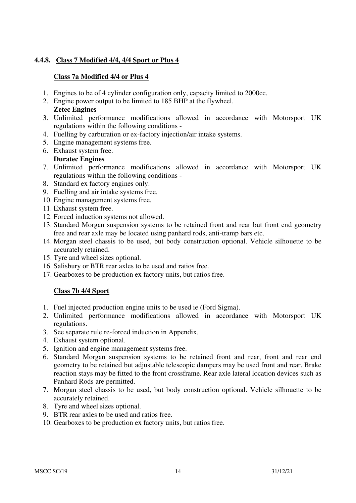## **4.4.8. Class 7 Modified 4/4, 4/4 Sport or Plus 4**

#### **Class 7a Modified 4/4 or Plus 4**

- 1. Engines to be of 4 cylinder configuration only, capacity limited to 2000cc.
- 2. Engine power output to be limited to 185 BHP at the flywheel. **Zetec Engines**
- 3. Unlimited performance modifications allowed in accordance with Motorsport UK regulations within the following conditions -
- 4. Fuelling by carburation or ex-factory injection/air intake systems.
- 5. Engine management systems free.
- 6. Exhaust system free. **Duratec Engines**
- 7. Unlimited performance modifications allowed in accordance with Motorsport UK regulations within the following conditions -
- 8. Standard ex factory engines only.
- 9. Fuelling and air intake systems free.
- 10. Engine management systems free.
- 11. Exhaust system free.
- 12. Forced induction systems not allowed.
- 13. Standard Morgan suspension systems to be retained front and rear but front end geometry free and rear axle may be located using panhard rods, anti-tramp bars etc.
- 14. Morgan steel chassis to be used, but body construction optional. Vehicle silhouette to be accurately retained.
- 15. Tyre and wheel sizes optional.
- 16. Salisbury or BTR rear axles to be used and ratios free.
- 17. Gearboxes to be production ex factory units, but ratios free.

#### **Class 7b 4/4 Sport**

- 1. Fuel injected production engine units to be used ie (Ford Sigma).
- 2. Unlimited performance modifications allowed in accordance with Motorsport UK regulations.
- 3. See separate rule re-forced induction in Appendix.
- 4. Exhaust system optional.
- 5. Ignition and engine management systems free.
- 6. Standard Morgan suspension systems to be retained front and rear, front and rear end geometry to be retained but adjustable telescopic dampers may be used front and rear. Brake reaction stays may be fitted to the front crossframe. Rear axle lateral location devices such as Panhard Rods are permitted.
- 7. Morgan steel chassis to be used, but body construction optional. Vehicle silhouette to be accurately retained.
- 8. Tyre and wheel sizes optional.
- 9. BTR rear axles to be used and ratios free.
- 10. Gearboxes to be production ex factory units, but ratios free.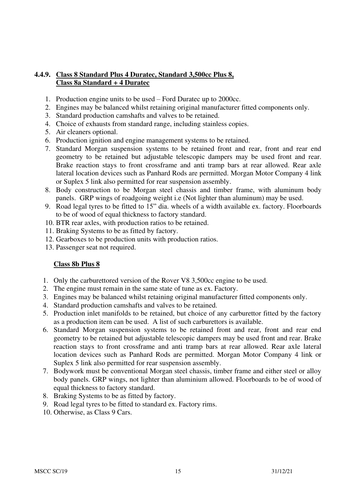#### **4.4.9. Class 8 Standard Plus 4 Duratec, Standard 3,500cc Plus 8, Class 8a Standard + 4 Duratec**

- 1. Production engine units to be used Ford Duratec up to 2000cc.
- 2. Engines may be balanced whilst retaining original manufacturer fitted components only.
- 3. Standard production camshafts and valves to be retained.
- 4. Choice of exhausts from standard range, including stainless copies.
- 5. Air cleaners optional.
- 6. Production ignition and engine management systems to be retained.
- 7. Standard Morgan suspension systems to be retained front and rear, front and rear end geometry to be retained but adjustable telescopic dampers may be used front and rear. Brake reaction stays to front crossframe and anti tramp bars at rear allowed. Rear axle lateral location devices such as Panhard Rods are permitted. Morgan Motor Company 4 link or Suplex 5 link also permitted for rear suspension assembly.
- 8. Body construction to be Morgan steel chassis and timber frame, with aluminum body panels. GRP wings of roadgoing weight i.e (Not lighter than aluminum) may be used.
- 9. Road legal tyres to be fitted to 15" dia. wheels of a width available ex. factory. Floorboards to be of wood of equal thickness to factory standard.
- 10. BTR rear axles, with production ratios to be retained.
- 11. Braking Systems to be as fitted by factory.
- 12. Gearboxes to be production units with production ratios.
- 13. Passenger seat not required.

#### **Class 8b Plus 8**

- 1. Only the carburettored version of the Rover V8 3,500cc engine to be used.
- 2. The engine must remain in the same state of tune as ex. Factory.
- 3. Engines may be balanced whilst retaining original manufacturer fitted components only.
- 4. Standard production camshafts and valves to be retained.
- 5. Production inlet manifolds to be retained, but choice of any carburettor fitted by the factory as a production item can be used. A list of such carburettors is available.
- 6. Standard Morgan suspension systems to be retained front and rear, front and rear end geometry to be retained but adjustable telescopic dampers may be used front and rear. Brake reaction stays to front crossframe and anti tramp bars at rear allowed. Rear axle lateral location devices such as Panhard Rods are permitted. Morgan Motor Company 4 link or Suplex 5 link also permitted for rear suspension assembly.
- 7. Bodywork must be conventional Morgan steel chassis, timber frame and either steel or alloy body panels. GRP wings, not lighter than aluminium allowed. Floorboards to be of wood of equal thickness to factory standard.
- 8. Braking Systems to be as fitted by factory.
- 9. Road legal tyres to be fitted to standard ex. Factory rims.
- 10. Otherwise, as Class 9 Cars.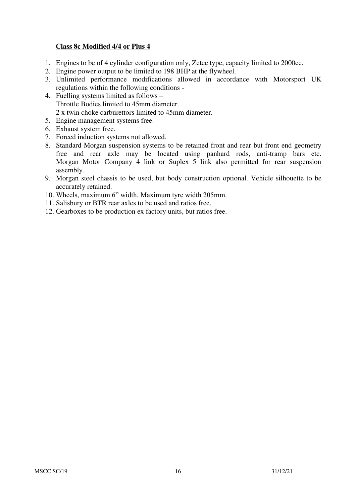#### **Class 8c Modified 4/4 or Plus 4**

- 1. Engines to be of 4 cylinder configuration only, Zetec type, capacity limited to 2000cc.
- 2. Engine power output to be limited to 198 BHP at the flywheel.
- 3. Unlimited performance modifications allowed in accordance with Motorsport UK regulations within the following conditions -
- 4. Fuelling systems limited as follows Throttle Bodies limited to 45mm diameter. 2 x twin choke carburettors limited to 45mm diameter.
- 5. Engine management systems free.
- 6. Exhaust system free.
- 7. Forced induction systems not allowed.
- 8. Standard Morgan suspension systems to be retained front and rear but front end geometry free and rear axle may be located using panhard rods, anti-tramp bars etc. Morgan Motor Company 4 link or Suplex 5 link also permitted for rear suspension assembly.
- 9. Morgan steel chassis to be used, but body construction optional. Vehicle silhouette to be accurately retained.
- 10. Wheels, maximum 6" width. Maximum tyre width 205mm.
- 11. Salisbury or BTR rear axles to be used and ratios free.
- 12. Gearboxes to be production ex factory units, but ratios free.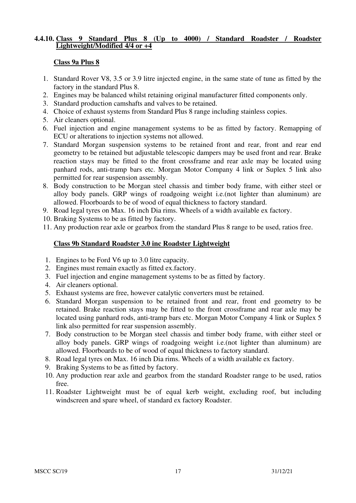#### **4.4.10. Class 9 Standard Plus 8 (Up to 4000) / Standard Roadster / Roadster Lightweight/Modified 4/4 or +4**

#### **Class 9a Plus 8**

- 1. Standard Rover V8, 3.5 or 3.9 litre injected engine, in the same state of tune as fitted by the factory in the standard Plus 8.
- 2. Engines may be balanced whilst retaining original manufacturer fitted components only.
- 3. Standard production camshafts and valves to be retained.
- 4. Choice of exhaust systems from Standard Plus 8 range including stainless copies.
- 5. Air cleaners optional.
- 6. Fuel injection and engine management systems to be as fitted by factory. Remapping of ECU or alterations to injection systems not allowed.
- 7. Standard Morgan suspension systems to be retained front and rear, front and rear end geometry to be retained but adjustable telescopic dampers may be used front and rear. Brake reaction stays may be fitted to the front crossframe and rear axle may be located using panhard rods, anti-tramp bars etc. Morgan Motor Company 4 link or Suplex 5 link also permitted for rear suspension assembly.
- 8. Body construction to be Morgan steel chassis and timber body frame, with either steel or alloy body panels. GRP wings of roadgoing weight i.e.(not lighter than aluminum) are allowed. Floorboards to be of wood of equal thickness to factory standard.
- 9. Road legal tyres on Max. 16 inch Dia rims. Wheels of a width available ex factory.
- 10. Braking Systems to be as fitted by factory.
- 11. Any production rear axle or gearbox from the standard Plus 8 range to be used, ratios free.

#### **Class 9b Standard Roadster 3.0 inc Roadster Lightweight**

- 1. Engines to be Ford V6 up to 3.0 litre capacity.
- 2. Engines must remain exactly as fitted ex.factory.
- 3. Fuel injection and engine management systems to be as fitted by factory.
- 4. Air cleaners optional.
- 5. Exhaust systems are free, however catalytic converters must be retained.
- 6. Standard Morgan suspension to be retained front and rear, front end geometry to be retained. Brake reaction stays may be fitted to the front crossframe and rear axle may be located using panhard rods, anti-tramp bars etc. Morgan Motor Company 4 link or Suplex 5 link also permitted for rear suspension assembly.
- 7. Body construction to be Morgan steel chassis and timber body frame, with either steel or alloy body panels. GRP wings of roadgoing weight i.e.(not lighter than aluminum) are allowed. Floorboards to be of wood of equal thickness to factory standard.
- 8. Road legal tyres on Max. 16 inch Dia rims. Wheels of a width available ex factory.
- 9. Braking Systems to be as fitted by factory.
- 10. Any production rear axle and gearbox from the standard Roadster range to be used, ratios free.
- 11. Roadster Lightweight must be of equal kerb weight, excluding roof, but including windscreen and spare wheel, of standard ex factory Roadster.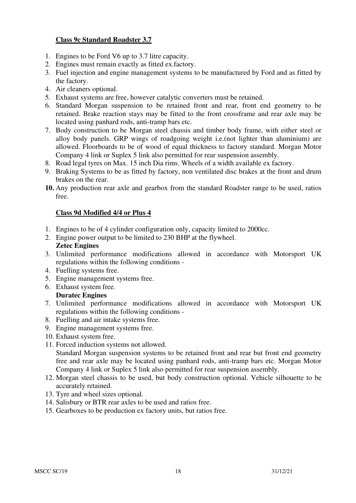#### **Class 9c Standard Roadster 3.7**

- 1. Engines to be Ford V6 up to 3.7 litre capacity.
- 2. Engines must remain exactly as fitted ex.factory.
- 3. Fuel injection and engine management systems to be manufactured by Ford and as fitted by the factory.
- 4. Air cleaners optional.
- 5. Exhaust systems are free, however catalytic converters must be retained.
- 6. Standard Morgan suspension to be retained front and rear, front end geometry to be retained. Brake reaction stays may be fitted to the front crossframe and rear axle may be located using panhard rods, anti-tramp bars etc.
- 7. Body construction to be Morgan steel chassis and timber body frame, with either steel or alloy body panels. GRP wings of roadgoing weight i.e.(not lighter than aluminium) are allowed. Floorboards to be of wood of equal thickness to factory standard. Morgan Motor Company 4 link or Suplex 5 link also permitted for rear suspension assembly.
- 8. Road legal tyres on Max. 15 inch Dia rims. Wheels of a width available ex factory.
- 9. Braking Systems to be as fitted by factory, non ventilated disc brakes at the front and drum brakes on the rear.
- **10.** Any production rear axle and gearbox from the standard Roadster range to be used, ratios free.

#### **Class 9d Modified 4/4 or Plus 4**

- 1. Engines to be of 4 cylinder configuration only, capacity limited to 2000cc.
- 2. Engine power output to be limited to 230 BHP at the flywheel.

#### **Zetec Engines**

- 3. Unlimited performance modifications allowed in accordance with Motorsport UK regulations within the following conditions -
- 4. Fuelling systems free.
- 5. Engine management systems free.
- 6. Exhaust system free.

#### **Duratec Engines**

- 7. Unlimited performance modifications allowed in accordance with Motorsport UK regulations within the following conditions -
- 8. Fuelling and air intake systems free.
- 9. Engine management systems free.
- 10. Exhaust system free.
- 11. Forced induction systems not allowed. Standard Morgan suspension systems to be retained front and rear but front end geometry free and rear axle may be located using panhard rods, anti-tramp bars etc. Morgan Motor Company 4 link or Suplex 5 link also permitted for rear suspension assembly.
- 12. Morgan steel chassis to be used, but body construction optional. Vehicle silhouette to be accurately retained.
- 13. Tyre and wheel sizes optional.
- 14. Salisbury or BTR rear axles to be used and ratios free.
- 15. Gearboxes to be production ex factory units, but ratios free.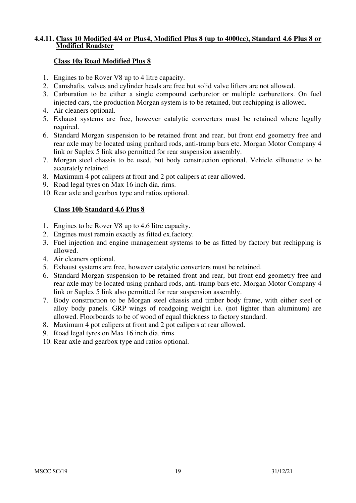#### **4.4.11. Class 10 Modified 4/4 or Plus4, Modified Plus 8 (up to 4000cc), Standard 4.6 Plus 8 or Modified Roadster**

#### **Class 10a Road Modified Plus 8**

- 1. Engines to be Rover V8 up to 4 litre capacity.
- 2. Camshafts, valves and cylinder heads are free but solid valve lifters are not allowed.
- 3. Carburation to be either a single compound carburetor or multiple carburettors. On fuel injected cars, the production Morgan system is to be retained, but rechipping is allowed.
- 4. Air cleaners optional.
- 5. Exhaust systems are free, however catalytic converters must be retained where legally required.
- 6. Standard Morgan suspension to be retained front and rear, but front end geometry free and rear axle may be located using panhard rods, anti-tramp bars etc. Morgan Motor Company 4 link or Suplex 5 link also permitted for rear suspension assembly.
- 7. Morgan steel chassis to be used, but body construction optional. Vehicle silhouette to be accurately retained.
- 8. Maximum 4 pot calipers at front and 2 pot calipers at rear allowed.
- 9. Road legal tyres on Max 16 inch dia. rims.
- 10. Rear axle and gearbox type and ratios optional.

#### **Class 10b Standard 4.6 Plus 8**

- 1. Engines to be Rover V8 up to 4.6 litre capacity.
- 2. Engines must remain exactly as fitted ex.factory.
- 3. Fuel injection and engine management systems to be as fitted by factory but rechipping is allowed.
- 4. Air cleaners optional.
- 5. Exhaust systems are free, however catalytic converters must be retained.
- 6. Standard Morgan suspension to be retained front and rear, but front end geometry free and rear axle may be located using panhard rods, anti-tramp bars etc. Morgan Motor Company 4 link or Suplex 5 link also permitted for rear suspension assembly.
- 7. Body construction to be Morgan steel chassis and timber body frame, with either steel or alloy body panels. GRP wings of roadgoing weight i.e. (not lighter than aluminum) are allowed. Floorboards to be of wood of equal thickness to factory standard.
- 8. Maximum 4 pot calipers at front and 2 pot calipers at rear allowed.
- 9. Road legal tyres on Max 16 inch dia. rims.
- 10. Rear axle and gearbox type and ratios optional.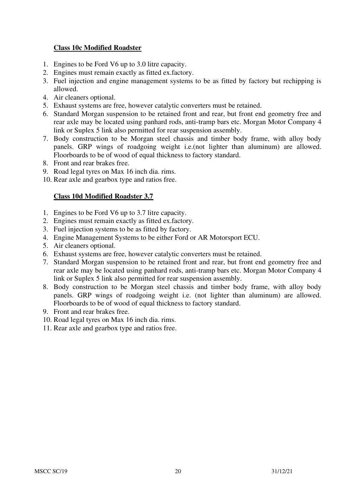#### **Class 10c Modified Roadster**

- 1. Engines to be Ford V6 up to 3.0 litre capacity.
- 2. Engines must remain exactly as fitted ex.factory.
- 3. Fuel injection and engine management systems to be as fitted by factory but rechipping is allowed.
- 4. Air cleaners optional.
- 5. Exhaust systems are free, however catalytic converters must be retained.
- 6. Standard Morgan suspension to be retained front and rear, but front end geometry free and rear axle may be located using panhard rods, anti-tramp bars etc. Morgan Motor Company 4 link or Suplex 5 link also permitted for rear suspension assembly.
- 7. Body construction to be Morgan steel chassis and timber body frame, with alloy body panels. GRP wings of roadgoing weight i.e.(not lighter than aluminum) are allowed. Floorboards to be of wood of equal thickness to factory standard.
- 8. Front and rear brakes free.
- 9. Road legal tyres on Max 16 inch dia. rims.
- 10. Rear axle and gearbox type and ratios free.

#### **Class 10d Modified Roadster 3.7**

- 1. Engines to be Ford V6 up to 3.7 litre capacity.
- 2. Engines must remain exactly as fitted ex.factory.
- 3. Fuel injection systems to be as fitted by factory.
- 4. Engine Management Systems to be either Ford or AR Motorsport ECU.
- 5. Air cleaners optional.
- 6. Exhaust systems are free, however catalytic converters must be retained.
- 7. Standard Morgan suspension to be retained front and rear, but front end geometry free and rear axle may be located using panhard rods, anti-tramp bars etc. Morgan Motor Company 4 link or Suplex 5 link also permitted for rear suspension assembly.
- 8. Body construction to be Morgan steel chassis and timber body frame, with alloy body panels. GRP wings of roadgoing weight i.e. (not lighter than aluminum) are allowed. Floorboards to be of wood of equal thickness to factory standard.
- 9. Front and rear brakes free.
- 10. Road legal tyres on Max 16 inch dia. rims.
- 11. Rear axle and gearbox type and ratios free.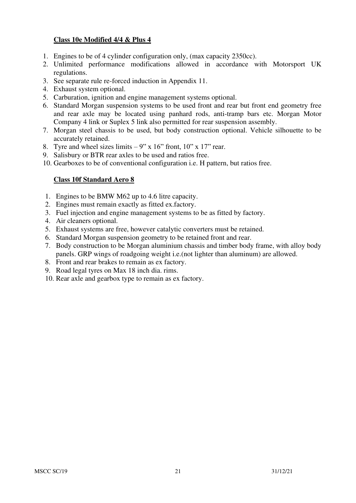#### **Class 10e Modified 4/4 & Plus 4**

- 1. Engines to be of 4 cylinder configuration only, (max capacity 2350cc).
- 2. Unlimited performance modifications allowed in accordance with Motorsport UK regulations.
- 3. See separate rule re-forced induction in Appendix 11.
- 4. Exhaust system optional.
- 5. Carburation, ignition and engine management systems optional.
- 6. Standard Morgan suspension systems to be used front and rear but front end geometry free and rear axle may be located using panhard rods, anti-tramp bars etc. Morgan Motor Company 4 link or Suplex 5 link also permitted for rear suspension assembly.
- 7. Morgan steel chassis to be used, but body construction optional. Vehicle silhouette to be accurately retained.
- 8. Tyre and wheel sizes limits  $-9$ " x 16" front, 10" x 17" rear.
- 9. Salisbury or BTR rear axles to be used and ratios free.
- 10. Gearboxes to be of conventional configuration i.e. H pattern, but ratios free.

#### **Class 10f Standard Aero 8**

- 1. Engines to be BMW M62 up to 4.6 litre capacity.
- 2. Engines must remain exactly as fitted ex.factory.
- 3. Fuel injection and engine management systems to be as fitted by factory.
- 4. Air cleaners optional.
- 5. Exhaust systems are free, however catalytic converters must be retained.
- 6. Standard Morgan suspension geometry to be retained front and rear.
- 7. Body construction to be Morgan aluminium chassis and timber body frame, with alloy body panels. GRP wings of roadgoing weight i.e.(not lighter than aluminum) are allowed.
- 8. Front and rear brakes to remain as ex factory.
- 9. Road legal tyres on Max 18 inch dia. rims.
- 10. Rear axle and gearbox type to remain as ex factory.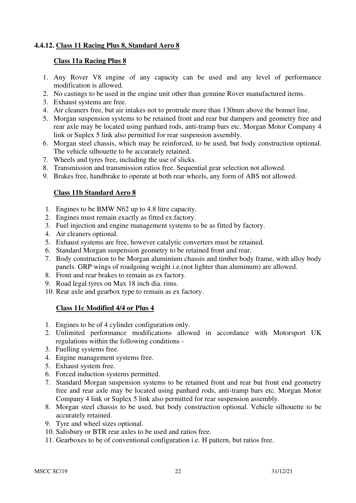## **4.4.12. Class 11 Racing Plus 8, Standard Aero 8**

#### **Class 11a Racing Plus 8**

- 1. Any Rover V8 engine of any capacity can be used and any level of performance modification is allowed.
- 2. No castings to be used in the engine unit other than genuine Rover manufactured items.
- 3. Exhaust systems are free.
- 4. Air cleaners free, but air intakes not to protrude more than 130mm above the bonnet line.
- 5. Morgan suspension systems to be retained front and rear but dampers and geometry free and rear axle may be located using panhard rods, anti-tramp bars etc. Morgan Motor Company 4 link or Suplex 5 link also permitted for rear suspension assembly.
- 6. Morgan steel chassis, which may be reinforced, to be used, but body construction optional. The vehicle silhouette to be accurately retained.
- 7. Wheels and tyres free, including the use of slicks.
- 8. Transmission and transmission ratios free. Sequential gear selection not allowed.
- 9. Brakes free, handbrake to operate at both rear wheels, any form of ABS not allowed.

#### **Class 11b Standard Aero 8**

- 1. Engines to be BMW N62 up to 4.8 litre capacity.
- 2. Engines must remain exactly as fitted ex.factory.
- 3. Fuel injection and engine management systems to be as fitted by factory.
- 4. Air cleaners optional.
- 5. Exhaust systems are free, however catalytic converters must be retained.
- 6. Standard Morgan suspension geometry to be retained front and rear.
- 7. Body construction to be Morgan aluminium chassis and timber body frame, with alloy body panels. GRP wings of roadgoing weight i.e.(not lighter than aluminum) are allowed.
- 8. Front and rear brakes to remain as ex factory.
- 9. Road legal tyres on Max 18 inch dia. rims.
- 10. Rear axle and gearbox type to remain as ex factory.

#### **Class 11c Modified 4/4 or Plus 4**

- 1. Engines to be of 4 cylinder configuration only.
- 2. Unlimited performance modifications allowed in accordance with Motorsport UK regulations within the following conditions -
- 3. Fuelling systems free.
- 4. Engine management systems free.
- 5. Exhaust system free.
- 6. Forced induction systems permitted.
- 7. Standard Morgan suspension systems to be retained front and rear but front end geometry free and rear axle may be located using panhard rods, anti-tramp bars etc. Morgan Motor Company 4 link or Suplex 5 link also permitted for rear suspension assembly.
- 8. Morgan steel chassis to be used, but body construction optional. Vehicle silhouette to be accurately retained.
- 9. Tyre and wheel sizes optional.
- 10. Salisbury or BTR rear axles to be used and ratios free.
- 11. Gearboxes to be of conventional configuration i.e. H pattern, but ratios free.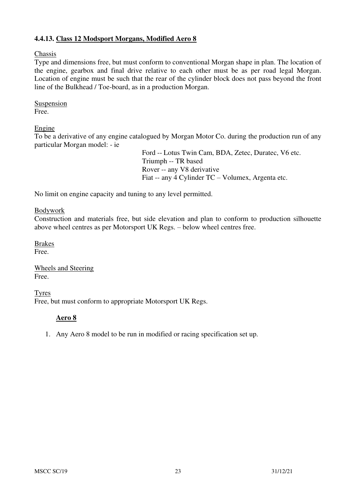## **4.4.13. Class 12 Modsport Morgans, Modified Aero 8**

Chassis

Type and dimensions free, but must conform to conventional Morgan shape in plan. The location of the engine, gearbox and final drive relative to each other must be as per road legal Morgan. Location of engine must be such that the rear of the cylinder block does not pass beyond the front line of the Bulkhead / Toe-board, as in a production Morgan.

Suspension Free.

#### Engine

To be a derivative of any engine catalogued by Morgan Motor Co. during the production run of any particular Morgan model: - ie

> Ford -- Lotus Twin Cam, BDA, Zetec, Duratec, V6 etc. Triumph -- TR based Rover -- any V8 derivative Fiat -- any 4 Cylinder TC – Volumex, Argenta etc.

No limit on engine capacity and tuning to any level permitted.

#### Bodywork

Construction and materials free, but side elevation and plan to conform to production silhouette above wheel centres as per Motorsport UK Regs. – below wheel centres free.

Brakes Free.

Wheels and Steering Free.

Tyres Free, but must conform to appropriate Motorsport UK Regs.

#### **Aero 8**

1. Any Aero 8 model to be run in modified or racing specification set up.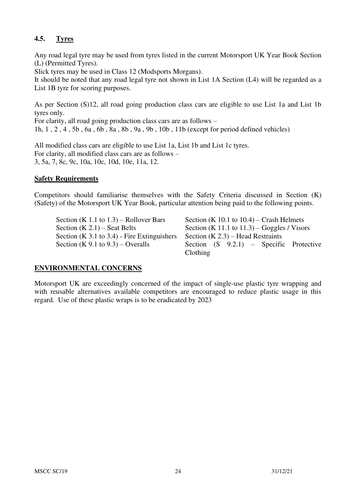# **4.5. Tyres**

Any road legal tyre may be used from tyres listed in the current Motorsport UK Year Book Section (L) (Permitted Tyres).

Slick tyres may be used in Class 12 (Modsports Morgans).

It should be noted that any road legal tyre not shown in List 1A Section (L4) will be regarded as a List 1B tyre for scoring purposes.

As per Section (S)12, all road going production class cars are eligible to use List 1a and List 1b tyres only.

For clarity, all road going production class cars are as follows –

1h, 1 , 2 , 4 , 5b , 6a , 6b , 8a , 8b , 9a , 9b , 10b , 11b (except for period defined vehicles)

All modified class cars are eligible to use List 1a, List 1b and List 1c tyres. For clarity, all modified class cars are as follows – 3, 5a, 7, 8c, 9c, 10a, 10c, 10d, 10e, 11a, 12.

#### **Safety Requirements**

Competitors should familiarise themselves with the Safety Criteria discussed in Section (K) (Safety) of the Motorsport UK Year Book, particular attention being paid to the following points.

Section (K 1.1 to 1.3) – Rollover Bars Section (K 10.1 to 10.4) – Crash Helmets Section  $(K 2.1)$  – Seat Belts Section  $(K 11.1 \text{ to } 11.3)$  – Goggles / Visors Section (K 3.1 to 3.4) - Fire Extinguishers Section (K  $2.3$ ) – Head Restraints

Section  $(K 9.1 to 9.3)$  – Overalls Section  $(S 9.2.1)$  – Specific Protective Clothing

#### **ENVIRONMENTAL CONCERNS**

Motorsport UK are exceedingly concerned of the impact of single-use plastic tyre wrapping and with reusable alternatives available competitors are encouraged to reduce plastic usage in this regard. Use of these plastic wraps is to be eradicated by 2023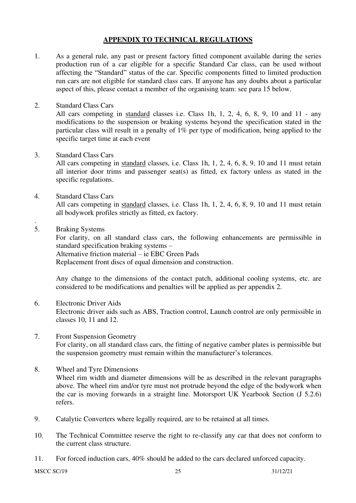#### **APPENDIX TO TECHNICAL REGULATIONS**

- 1. As a general rule, any past or present factory fitted component available during the series production run of a car eligible for a specific Standard Car class, can be used without affecting the "Standard" status of the car. Specific components fitted to limited production run cars are not eligible for standard class cars. If anyone has any doubts about a particular aspect of this, please contact a member of the organising team: see para 15 below.
- 2. Standard Class Cars

All cars competing in standard classes i.e. Class 1h, 1, 2, 4, 6, 8, 9, 10 and 11 - any modifications to the suspension or braking systems beyond the specification stated in the particular class will result in a penalty of 1% per type of modification, being applied to the specific target time at each event

3. Standard Class Cars

All cars competing in standard classes, i.e. Class 1h, 1, 2, 4, 6, 8, 9, 10 and 11 must retain all interior door trims and passenger seat(s) as fitted, ex factory unless as stated in the specific regulations.

- 4. Standard Class Cars All cars competing in standard classes, i.e. Class 1h, 1, 2, 4, 6, 8, 9, 10 and 11 must retain all bodywork profiles strictly as fitted, ex factory.
- 5. Braking Systems

.

For clarity, on all standard class cars, the following enhancements are permissible in standard specification braking systems – Alternative friction material – ie EBC Green Pads Replacement front discs of equal dimension and construction.

Any change to the dimensions of the contact patch, additional cooling systems, etc. are considered to be modifications and penalties will be applied as per appendix 2.

- 6. Electronic Driver Aids Electronic driver aids such as ABS, Traction control, Launch control are only permissible in classes 10, 11 and 12.
- 7. Front Suspension Geometry For clarity, on all standard class cars, the fitting of negative camber plates is permissible but the suspension geometry must remain within the manufacturer's tolerances.
- 8. Wheel and Tyre Dimensions Wheel rim width and diameter dimensions will be as described in the relevant paragraphs above. The wheel rim and/or tyre must not protrude beyond the edge of the bodywork when the car is moving forwards in a straight line. Motorsport UK Yearbook Section (J 5.2.6) refers.
- 9. Catalytic Converters where legally required, are to be retained at all times.
- 10. The Technical Committee reserve the right to re-classify any car that does not conform to the current class structure.
- 11. For forced induction cars, 40% should be added to the cars declared unforced capacity.

MSCC SC/19 25 31/12/21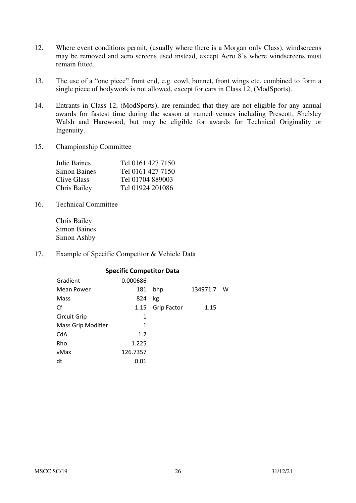- 12. Where event conditions permit, (usually where there is a Morgan only Class), windscreens may be removed and aero screens used instead, except Aero 8's where windscreens must remain fitted.
- 13. The use of a "one piece" front end, e.g. cowl, bonnet, front wings etc. combined to form a single piece of bodywork is not allowed, except for cars in Class 12, (ModSports).
- 14. Entrants in Class 12, (ModSports), are reminded that they are not eligible for any annual awards for fastest time during the season at named venues including Prescott, Shelsley Walsh and Harewood, but may be eligible for awards for Technical Originality or Ingenuity.
- 15. Championship Committee

| Julie Baines        | Tel 0161 427 7150 |
|---------------------|-------------------|
| <b>Simon Baines</b> | Tel 0161 427 7150 |
| Clive Glass         | Tel 01704 889003  |
| Chris Bailey        | Tel 01924 201086  |

16. Technical Committee

Chris Bailey Simon Baines Simon Ashby

17. Example of Specific Competitor & Vehicle Data

| <b>Specific Competitor Data</b> |          |                    |          |   |  |  |  |
|---------------------------------|----------|--------------------|----------|---|--|--|--|
| Gradient                        | 0.000686 |                    |          |   |  |  |  |
| <b>Mean Power</b>               | 181      | bhp                | 134971.7 | w |  |  |  |
| Mass                            | 824      | kg                 |          |   |  |  |  |
| Cf                              | 1.15     | <b>Grip Factor</b> | 1.15     |   |  |  |  |
| <b>Circuit Grip</b>             | 1        |                    |          |   |  |  |  |
| Mass Grip Modifier              | 1        |                    |          |   |  |  |  |
| CdA                             | 1.2      |                    |          |   |  |  |  |
| Rho                             | 1.225    |                    |          |   |  |  |  |
| vMax                            | 126.7357 |                    |          |   |  |  |  |
| dt                              | 0.01     |                    |          |   |  |  |  |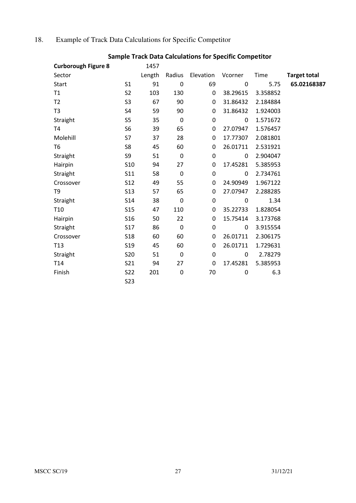# 18. Example of Track Data Calculations for Specific Competitor

| <b>Curborough Figure 8</b> |                 | 1457   |             |                  |             |          |                     |
|----------------------------|-----------------|--------|-------------|------------------|-------------|----------|---------------------|
| Sector                     |                 | Length |             | Radius Elevation | Vcorner     | Time     | <b>Target total</b> |
| <b>Start</b>               | S <sub>1</sub>  | 91     | $\mathbf 0$ | 69               | $\mathbf 0$ | 5.75     | 65.02168387         |
| T1                         | S <sub>2</sub>  | 103    | 130         | $\mathbf 0$      | 38.29615    | 3.358852 |                     |
| T <sub>2</sub>             | S <sub>3</sub>  | 67     | 90          | 0                | 31.86432    | 2.184884 |                     |
| T3                         | S <sub>4</sub>  | 59     | 90          | 0                | 31.86432    | 1.924003 |                     |
| Straight                   | S5              | 35     | $\pmb{0}$   | $\boldsymbol{0}$ | 0           | 1.571672 |                     |
| <b>T4</b>                  | S <sub>6</sub>  | 39     | 65          | $\mathbf 0$      | 27.07947    | 1.576457 |                     |
| Molehill                   | S7              | 37     | 28          | 0                | 17.77307    | 2.081801 |                     |
| T <sub>6</sub>             | S8              | 45     | 60          | 0                | 26.01711    | 2.531921 |                     |
| Straight                   | S9              | 51     | $\mathbf 0$ | $\boldsymbol{0}$ | 0           | 2.904047 |                     |
| Hairpin                    | S <sub>10</sub> | 94     | 27          | 0                | 17.45281    | 5.385953 |                     |
| Straight                   | <b>S11</b>      | 58     | $\pmb{0}$   | $\boldsymbol{0}$ | 0           | 2.734761 |                     |
| Crossover                  | <b>S12</b>      | 49     | 55          | 0                | 24.90949    | 1.967122 |                     |
| T9                         | <b>S13</b>      | 57     | 65          | 0                | 27.07947    | 2.288285 |                     |
| Straight                   | S14             | 38     | 0           | 0                | 0           | 1.34     |                     |
| T <sub>10</sub>            | <b>S15</b>      | 47     | 110         | 0                | 35.22733    | 1.828054 |                     |
| Hairpin                    | S <sub>16</sub> | 50     | 22          | 0                | 15.75414    | 3.173768 |                     |
| Straight                   | <b>S17</b>      | 86     | $\pmb{0}$   | $\pmb{0}$        | 0           | 3.915554 |                     |
| Crossover                  | <b>S18</b>      | 60     | 60          | 0                | 26.01711    | 2.306175 |                     |
| T <sub>13</sub>            | S <sub>19</sub> | 45     | 60          | 0                | 26.01711    | 1.729631 |                     |
| Straight                   | <b>S20</b>      | 51     | $\pmb{0}$   | 0                | 0           | 2.78279  |                     |
| T <sub>14</sub>            | S21             | 94     | 27          | 0                | 17.45281    | 5.385953 |                     |
| Finish                     | S22             | 201    | 0           | 70               | 0           | 6.3      |                     |
|                            | <b>S23</b>      |        |             |                  |             |          |                     |

# **Sample Track Data Calculations for Specific Competitor**